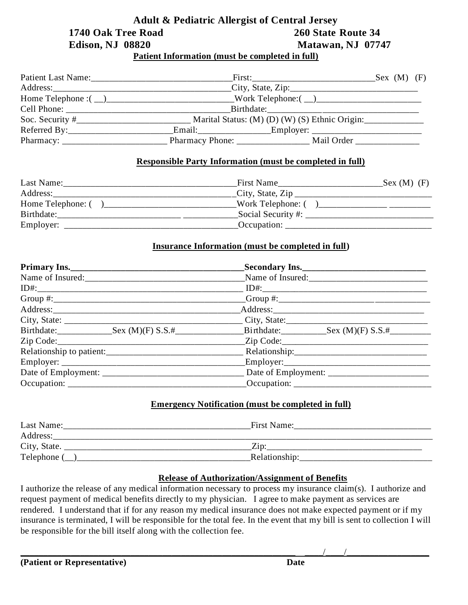# **Adult & Pediatric Allergist of Central Jersey 1740 Oak Tree Road 260 State Route 34 Edison, NJ 08820** Matawan, NJ 07747

**Patient Information (must be completed in full)**

| Patient Last Name: 2008                                 |                                                                                                                                                                                                                                                                                                                                    | First:                                         | Sex (M) (F) |
|---------------------------------------------------------|------------------------------------------------------------------------------------------------------------------------------------------------------------------------------------------------------------------------------------------------------------------------------------------------------------------------------------|------------------------------------------------|-------------|
|                                                         |                                                                                                                                                                                                                                                                                                                                    |                                                |             |
|                                                         | Home Telephone : $\qquad$ $\qquad$ $\qquad$ $\qquad$ $\qquad$ $\qquad$ $\qquad$ $\qquad$ $\qquad$ $\qquad$ $\qquad$ $\qquad$ $\qquad$ $\qquad$ $\qquad$ $\qquad$ $\qquad$ $\qquad$ $\qquad$ $\qquad$ $\qquad$ $\qquad$ $\qquad$ $\qquad$ $\qquad$ $\qquad$ $\qquad$ $\qquad$ $\qquad$ $\qquad$ $\qquad$ $\qquad$ $\qquad$ $\qquad$ |                                                |             |
|                                                         |                                                                                                                                                                                                                                                                                                                                    | Birthdate:                                     |             |
|                                                         |                                                                                                                                                                                                                                                                                                                                    | Marital Status: (M) (D) (W) (S) Ethnic Origin: |             |
| $Reference By:\_\_\_\_\_\_\_\_\_\_\_\_\_\_\_\_\_\_\_\_$ |                                                                                                                                                                                                                                                                                                                                    |                                                |             |
|                                                         |                                                                                                                                                                                                                                                                                                                                    |                                                |             |

## **Responsible Party Information (must be completed in full)**

| Last Name:        | First Name<br>Sex (M) (F) |
|-------------------|---------------------------|
| Address:          | City, State, Zip          |
| Home Telephone: ( | Work Telephone: (         |
| Birthdate:        | Social Security #:        |
| Employer:         | Occupation:               |

## **Insurance Information (must be completed in full)**

| Primary Ins. |                                                                                                                                                                                                                                                                                                                                                                                                                                                               |
|--------------|---------------------------------------------------------------------------------------------------------------------------------------------------------------------------------------------------------------------------------------------------------------------------------------------------------------------------------------------------------------------------------------------------------------------------------------------------------------|
|              | Name of Insured:                                                                                                                                                                                                                                                                                                                                                                                                                                              |
|              |                                                                                                                                                                                                                                                                                                                                                                                                                                                               |
|              | $Group$ #:                                                                                                                                                                                                                                                                                                                                                                                                                                                    |
|              |                                                                                                                                                                                                                                                                                                                                                                                                                                                               |
|              |                                                                                                                                                                                                                                                                                                                                                                                                                                                               |
|              |                                                                                                                                                                                                                                                                                                                                                                                                                                                               |
|              |                                                                                                                                                                                                                                                                                                                                                                                                                                                               |
|              |                                                                                                                                                                                                                                                                                                                                                                                                                                                               |
|              |                                                                                                                                                                                                                                                                                                                                                                                                                                                               |
|              |                                                                                                                                                                                                                                                                                                                                                                                                                                                               |
|              | $\textcolor{red}{\text{C}}$ $\textcolor{red}{\text{C}}$ $\textcolor{red}{\text{C}}$ $\textcolor{red}{\text{C}}$ $\textcolor{red}{\text{C}}$ $\textcolor{red}{\text{C}}$ $\textcolor{red}{\text{C}}$ $\textcolor{red}{\text{C}}$ $\textcolor{red}{\text{C}}$ $\textcolor{red}{\text{C}}$ $\textcolor{red}{\text{C}}$ $\textcolor{red}{\text{C}}$ $\textcolor{red}{\text{C}}$ $\textcolor{red}{\text{C}}$ $\textcolor{red}{\text{C}}$ $\textcolor{red}{\text{C$ |

## **Emergency Notification (must be completed in full)**

| Last Name:   | First Name:   |  |
|--------------|---------------|--|
| Address:     |               |  |
| City, State. |               |  |
| Telephone (  | Relationship: |  |

## **Release of Authorization/Assignment of Benefits**

I authorize the release of any medical information necessary to process my insurance claim(s). I authorize and request payment of medical benefits directly to my physician. I agree to make payment as services are rendered. I understand that if for any reason my medical insurance does not make expected payment or if my insurance is terminated, I will be responsible for the total fee. In the event that my bill is sent to collection I will be responsible for the bill itself along with the collection fee.

\_\_\_\_\_\_\_\_\_\_\_\_\_\_\_\_\_\_\_\_\_\_\_\_\_\_\_\_\_\_\_\_\_\_\_\_\_\_\_\_\_\_\_\_\_\_\_\_\_\_\_\_\_\_\_\_\_\_\_\_ \_\_\_\_/\_\_\_\_/\_\_\_\_\_\_\_\_\_\_\_\_\_\_\_\_\_\_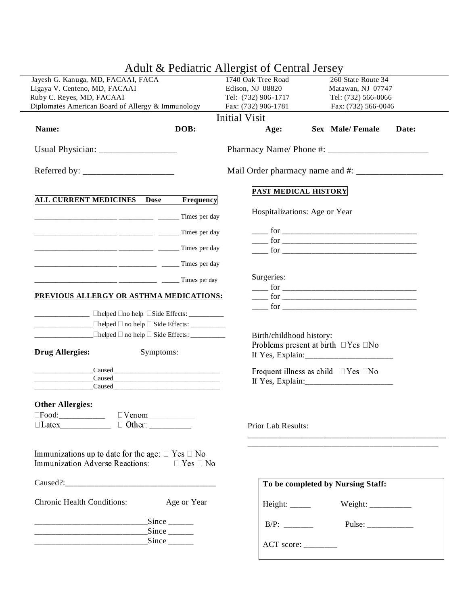|                                                                                                          |                                               |                                          | Adult & Pediatric Allergist of Central Jersey |                                                |  |
|----------------------------------------------------------------------------------------------------------|-----------------------------------------------|------------------------------------------|-----------------------------------------------|------------------------------------------------|--|
| Jayesh G. Kanuga, MD, FACAAI, FACA                                                                       |                                               | 1740 Oak Tree Road<br>260 State Route 34 |                                               |                                                |  |
| Ligaya V. Centeno, MD, FACAAI                                                                            |                                               | Edison, NJ 08820                         | Matawan, NJ 07747                             |                                                |  |
| Ruby C. Reyes, MD, FACAAI                                                                                |                                               |                                          | Tel: (732) 906-1717                           | Tel: (732) 566-0066                            |  |
| Diplomates American Board of Allergy & Immunology                                                        |                                               |                                          | Fax: (732) 906-1781                           | Fax: (732) 566-0046                            |  |
|                                                                                                          |                                               |                                          | <b>Initial Visit</b>                          |                                                |  |
| Name:                                                                                                    |                                               | DOB:                                     | Age:                                          | Sex Male/Female<br>Date:                       |  |
|                                                                                                          |                                               |                                          |                                               |                                                |  |
|                                                                                                          |                                               |                                          |                                               |                                                |  |
|                                                                                                          |                                               |                                          |                                               | PAST MEDICAL HISTORY                           |  |
| <b>ALL CURRENT MEDICINES</b>                                                                             | <b>Dose</b>                                   | Frequency                                |                                               |                                                |  |
|                                                                                                          |                                               |                                          |                                               | Hospitalizations: Age or Year                  |  |
|                                                                                                          |                                               |                                          |                                               |                                                |  |
|                                                                                                          |                                               |                                          |                                               |                                                |  |
|                                                                                                          |                                               |                                          |                                               |                                                |  |
|                                                                                                          |                                               |                                          | Surgeries:                                    |                                                |  |
| PREVIOUS ALLERGY OR ASTHMA MEDICATIONS:                                                                  |                                               |                                          |                                               |                                                |  |
|                                                                                                          |                                               |                                          |                                               |                                                |  |
|                                                                                                          |                                               |                                          |                                               |                                                |  |
|                                                                                                          |                                               |                                          |                                               |                                                |  |
|                                                                                                          |                                               |                                          | Birth/childhood history:                      |                                                |  |
|                                                                                                          |                                               |                                          |                                               | Problems present at birth $\Box$ Yes $\Box$ No |  |
| <b>Drug Allergies:</b>                                                                                   | Symptoms:                                     |                                          |                                               |                                                |  |
|                                                                                                          |                                               |                                          |                                               | Frequent illness as child $\Box$ Yes $\Box$ No |  |
|                                                                                                          |                                               |                                          |                                               |                                                |  |
| $\begin{array}{c} \text{Caused} \end{array}$                                                             |                                               |                                          |                                               |                                                |  |
| <b>Other Allergies:</b>                                                                                  |                                               |                                          |                                               |                                                |  |
|                                                                                                          |                                               |                                          |                                               |                                                |  |
|                                                                                                          |                                               |                                          | Prior Lab Results:                            |                                                |  |
|                                                                                                          |                                               |                                          |                                               |                                                |  |
|                                                                                                          |                                               |                                          |                                               |                                                |  |
| Immunizations up to date for the age: $\Box$ Yes $\Box$ No<br>Immunization Adverse Reactions: □ Yes □ No |                                               |                                          |                                               |                                                |  |
|                                                                                                          |                                               |                                          |                                               | To be completed by Nursing Staff:              |  |
| <b>Chronic Health Conditions:</b>                                                                        |                                               | Age or Year                              |                                               | Weight: __________                             |  |
|                                                                                                          | _______________________________Since ________ |                                          |                                               | Pulse: $\frac{2}{\sqrt{2}}$                    |  |
|                                                                                                          | ______________________________Since ________  |                                          |                                               |                                                |  |
|                                                                                                          |                                               |                                          |                                               |                                                |  |
|                                                                                                          |                                               |                                          |                                               |                                                |  |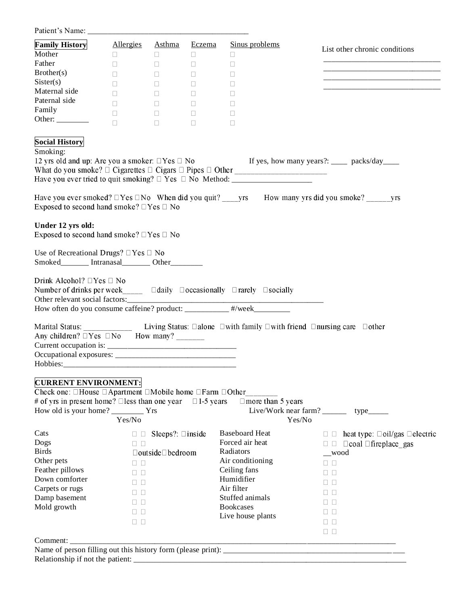Patient's Name: \_\_\_\_\_\_\_\_\_\_\_\_\_\_\_\_\_\_\_\_\_\_\_\_\_\_\_\_\_\_\_\_\_\_\_\_\_\_\_\_

| Mother                                                                                                                                                                                                                                               | <u>Allergies</u>                                   | Asthma Eczema                                                           | Sinus problems                                                                                                                       | List other chronic conditions                                     |
|------------------------------------------------------------------------------------------------------------------------------------------------------------------------------------------------------------------------------------------------------|----------------------------------------------------|-------------------------------------------------------------------------|--------------------------------------------------------------------------------------------------------------------------------------|-------------------------------------------------------------------|
|                                                                                                                                                                                                                                                      | $\Box$                                             | $\Box$<br>$\Box$                                                        | $\Box$                                                                                                                               |                                                                   |
| Father                                                                                                                                                                                                                                               | П.                                                 | $\Box$<br>$\Box$                                                        | $\Box$                                                                                                                               | <u> 1989 - Johann John Stein, mars an deus Frankrik (f. 1989)</u> |
| Brother(s)                                                                                                                                                                                                                                           | П                                                  | $\Box$<br>$\Box$                                                        | П                                                                                                                                    |                                                                   |
| Sister(s)                                                                                                                                                                                                                                            | $\Box$                                             | $\Box$<br>$\Box$                                                        | П                                                                                                                                    |                                                                   |
| Maternal side                                                                                                                                                                                                                                        | П                                                  | $\Box$<br>$\Box$                                                        | $\mathbf{L}$                                                                                                                         |                                                                   |
| Paternal side                                                                                                                                                                                                                                        | П.                                                 | $\Box$                                                                  | $\mathbf{L}$                                                                                                                         |                                                                   |
| Family                                                                                                                                                                                                                                               | $\Box$                                             | $\mathcal{L}^{\mathcal{L}}$ , and $\mathcal{L}^{\mathcal{L}}$<br>$\Box$ | $\Box$                                                                                                                               |                                                                   |
| Other: $\frac{1}{\sqrt{1-\frac{1}{2}} \cdot \frac{1}{2}}$                                                                                                                                                                                            | $\Box$                                             | $\Box$<br>$\Box$                                                        | O                                                                                                                                    |                                                                   |
| <b>Social History</b>                                                                                                                                                                                                                                |                                                    |                                                                         |                                                                                                                                      |                                                                   |
| Smoking:                                                                                                                                                                                                                                             |                                                    |                                                                         |                                                                                                                                      |                                                                   |
| 12 yrs old and up: Are you a smoker: $\Box$ Yes $\Box$ No                                                                                                                                                                                            |                                                    |                                                                         |                                                                                                                                      | If yes, how many years?: _____ packs/day____                      |
|                                                                                                                                                                                                                                                      |                                                    |                                                                         |                                                                                                                                      |                                                                   |
| Exposed to second hand smoke? $\Box$ Yes $\Box$ No                                                                                                                                                                                                   |                                                    |                                                                         |                                                                                                                                      |                                                                   |
| Under 12 yrs old:<br>Exposed to second hand smoke? $\Box$ Yes $\Box$ No                                                                                                                                                                              |                                                    |                                                                         |                                                                                                                                      |                                                                   |
| Use of Recreational Drugs? $\Box$ Yes $\Box$ No<br>Smoked_______ Intranasal_______ Other_______                                                                                                                                                      |                                                    |                                                                         |                                                                                                                                      |                                                                   |
| Drink Alcohol? $\Box$ Yes $\Box$ No<br>Number of drinks per week______ □daily □ occasionally □ rarely □ socially                                                                                                                                     |                                                    |                                                                         |                                                                                                                                      |                                                                   |
|                                                                                                                                                                                                                                                      |                                                    |                                                                         |                                                                                                                                      |                                                                   |
|                                                                                                                                                                                                                                                      |                                                    |                                                                         | Marital Status: _________________ Living Status: $\Box$ alone $\Box$ with family $\Box$ with friend $\Box$ nursing care $\Box$ other |                                                                   |
| Any children? $\Box$ Yes $\Box$ No How many? ________<br><b>CURRENT ENVIRONMENT:</b><br>Check one: $\Box$ House $\Box$ Apartment $\Box$ Mobile home $\Box$ Farm $\Box$ Other<br># of yrs in present home? $\Box$ less than one year $\Box$ 1-5 years |                                                    |                                                                         | $\Box$ more than 5 years                                                                                                             | Live/Work near farm? _________ type______                         |
|                                                                                                                                                                                                                                                      | Yes/No                                             |                                                                         | Yes/No                                                                                                                               |                                                                   |
|                                                                                                                                                                                                                                                      | $\Box$                                             | Sleeps?: $\square$ inside                                               | <b>Baseboard Heat</b>                                                                                                                | $\Box$ heat type: $\Box$ oil/gas $\Box$ electric                  |
|                                                                                                                                                                                                                                                      | $\Box$ $\Box$                                      |                                                                         | Forced air heat                                                                                                                      |                                                                   |
|                                                                                                                                                                                                                                                      |                                                    | $\Box$ outside $\Box$ bedroom                                           | Radiators                                                                                                                            | _wood                                                             |
|                                                                                                                                                                                                                                                      | $\Box$ $\Box$                                      |                                                                         | Air conditioning                                                                                                                     | $\Box$ $\Box$                                                     |
|                                                                                                                                                                                                                                                      | $\Box$ $\Box$                                      |                                                                         | Ceiling fans                                                                                                                         | $\Box$ $\Box$                                                     |
|                                                                                                                                                                                                                                                      |                                                    |                                                                         | Humidifier                                                                                                                           |                                                                   |
|                                                                                                                                                                                                                                                      | $\Box$ $\Box$                                      |                                                                         | Air filter                                                                                                                           | $\Box$ $\Box$                                                     |
| Cats<br>Dogs<br><b>Birds</b><br>Other pets<br>Feather pillows<br>Down comforter<br>Carpets or rugs<br>Damp basement                                                                                                                                  | $\Box$                                             |                                                                         | Stuffed animals                                                                                                                      | $\Box$ $\Box$                                                     |
| Mold growth                                                                                                                                                                                                                                          | $\Box$                                             |                                                                         | <b>Bookcases</b>                                                                                                                     | $\Box$ $\Box$                                                     |
|                                                                                                                                                                                                                                                      | $\Box$ $\Box$                                      |                                                                         | Live house plants                                                                                                                    | $\Box$ $\Box$                                                     |
|                                                                                                                                                                                                                                                      | $\begin{array}{ccc} \square & \square \end{array}$ |                                                                         |                                                                                                                                      | $\Box$ $\Box$                                                     |
| Comment:                                                                                                                                                                                                                                             |                                                    |                                                                         |                                                                                                                                      | $\Box$ $\Box$                                                     |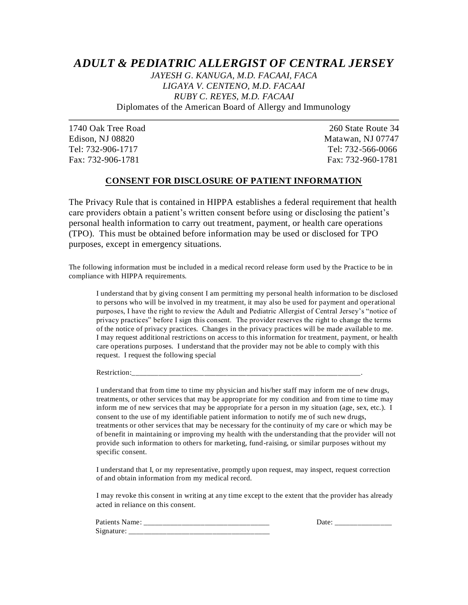## *ADULT & PEDIATRIC ALLERGIST OF CENTRAL JERSEY*

*JAYESH G. KANUGA, M.D. FACAAI, FACA LIGAYA V. CENTENO, M.D. FACAAI RUBY C. REYES, M.D. FACAAI* Diplomates of the American Board of Allergy and Immunology

1740 Oak Tree Road 260 State Route 34 Edison, NJ 08820 Matawan, NJ 07747 Tel: 732-906-1717 Tel: 732-566-0066 Fax: 732-906-1781 Fax: 732-960-1781

### **CONSENT FOR DISCLOSURE OF PATIENT INFORMATION**

The Privacy Rule that is contained in HIPPA establishes a federal requirement that health care providers obtain a patient's written consent before using or disclosing the patient's personal health information to carry out treatment, payment, or health care operations (TPO). This must be obtained before information may be used or disclosed for TPO purposes, except in emergency situations.

The following information must be included in a medical record release form used by the Practice to be in compliance with HIPPA requirements.

I understand that by giving consent I am permitting my personal health information to be disclosed to persons who will be involved in my treatment, it may also be used for payment and operational purposes, I have the right to review the Adult and Pediatric Allergist of Central Jersey's "notice of privacy practices" before I sign this consent. The provider reserves the right to change the terms of the notice of privacy practices. Changes in the privacy practices will be made available to me. I may request additional restrictions on access to this information for treatment, payment, or health care operations purposes. I understand that the provider may not be able to comply with this request. I request the following special

Restriction:

I understand that from time to time my physician and his/her staff may inform me of new drugs, treatments, or other services that may be appropriate for my condition and from time to time may inform me of new services that may be appropriate for a person in my situation (age, sex, etc.). I consent to the use of my identifiable patient information to notify me of such new drugs, treatments or other services that may be necessary for the continuity of my care or which may be of benefit in maintaining or improving my health with the understanding that the provider will not provide such information to others for marketing, fund-raising, or similar purposes without my specific consent.

I understand that I, or my representative, promptly upon request, may inspect, request correction of and obtain information from my medical record.

I may revoke this consent in writing at any time except to the extent that the provider has already acted in reliance on this consent.

|        | ______  | ____ |  |
|--------|---------|------|--|
| ~<br>້ | _______ |      |  |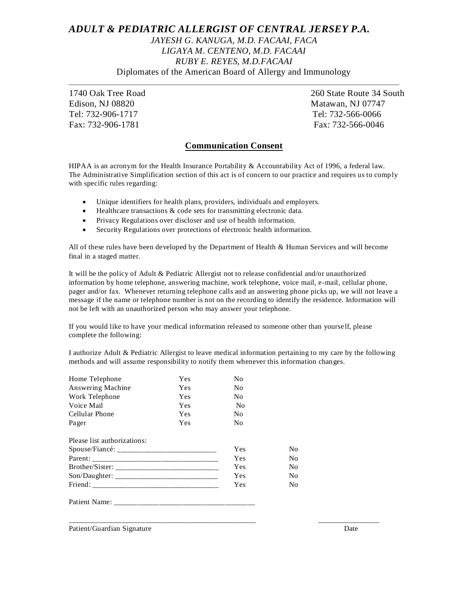## *ADULT & PEDIATRIC ALLERGIST OF CENTRAL JERSEY P.A. JAYESH G. KANUGA, M.D. FACAAI, FACA LIGAYA M. CENTENO, M.D. FACAAI RUBY E. REYES, M.D.FACAAI* Diplomates of the American Board of Allergy and Immunology

Edison, NJ 08820 Matawan, NJ 07747 Tel: 732-906-1717 Tel: 732-566-0066 Fax: 732-906-1781 Fax: 732-566-0046

1740 Oak Tree Road 260 State Route 34 South

### **Communication Consent**

HIPAA is an acronym for the Health Insurance Portability & Accountability Act of 1996, a federal law. The Administrative Simplification section of this act is of concern to our practice and requires us to comply with specific rules regarding:

- Unique identifiers for health plans, providers, individuals and employers.
- Healthcare transactions & code sets for transmitting electronic data.
- Privacy Regulations over discloser and use of health information.
- Security Regulations over protections of electronic health information.

All of these rules have been developed by the Department of Health & Human Services and will become final in a staged matter.

It will be the policy of Adult & Pediatric Allergist not to release confidential and/or unauthorized information by home telephone, answering machine, work telephone, voice mail, e-mail, cellular phone, pager and/or fax. Whenever returning telephone calls and an answering phone picks up, we will not leave a message if the name or telephone number is not on the recording to identify the residence. Information will not be left with an unauthorized person who may answer your telephone.

If you would like to have your medical information released to someone other than yourse lf, please complete the following:

\_\_\_\_\_\_\_\_\_\_\_\_\_\_\_\_\_\_\_\_\_\_\_\_\_\_\_\_\_\_\_\_\_\_\_\_\_\_\_\_\_\_\_\_\_\_\_\_\_ \_\_\_\_\_\_\_\_\_\_\_\_\_\_\_\_

I authorize Adult & Pediatric Allergist to leave medical information pertaining to my care by the following methods and will assume responsibility to notify them whenever this information changes.

| Home Telephone              | <b>Yes</b> | N <sub>0</sub> |    |
|-----------------------------|------------|----------------|----|
| Answering Machine           | <b>Yes</b> | N <sub>0</sub> |    |
| Work Telephone              | <b>Yes</b> | N <sub>0</sub> |    |
| Voice Mail                  | Yes        | N <sub>0</sub> |    |
| Cellular Phone              | <b>Yes</b> | N <sub>0</sub> |    |
| Pager                       | <b>Yes</b> | N <sub>0</sub> |    |
| Please list authorizations: |            |                |    |
|                             |            | Yes            | No |
|                             |            | Yes            | No |
|                             | Yes        | No             |    |
|                             | Yes        | No             |    |
|                             | Yes        | No             |    |
|                             |            |                |    |

Patient/Guardian Signature Date Date of the Date of the Date of the Date of the Date of the Date of the Date of the Date of the Date of the Date of the Date of the Date of the Date of the Date of the Date of the Date of th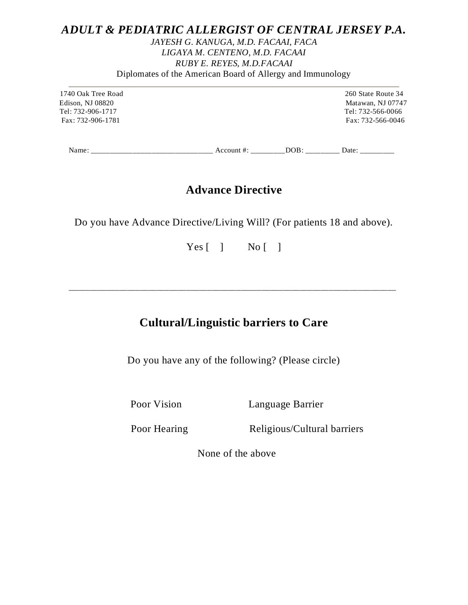## *ADULT & PEDIATRIC ALLERGIST OF CENTRAL JERSEY P.A.*

## *JAYESH G. KANUGA, M.D. FACAAI, FACA LIGAYA M. CENTENO, M.D. FACAAI RUBY E. REYES, M.D.FACAAI* Diplomates of the American Board of Allergy and Immunology

 Edison, NJ 08820 Matawan, NJ 07747 Tel: 732-906-1717 Tel: 732-566-0066 Fax: 732-906-1781 Fax: 732-566-0046

1740 Oak Tree Road 260 State Route 34

Name: \_\_\_\_\_\_\_\_\_\_\_\_\_\_\_\_\_\_\_\_\_\_\_\_\_\_\_\_\_\_\_\_ Account #: \_\_\_\_\_\_\_\_\_DOB: \_\_\_\_\_\_\_\_\_ Date: \_\_\_\_\_\_\_\_\_

# **Advance Directive**

Do you have Advance Directive/Living Will? (For patients 18 and above).

Yes [ ] No [ ]

# **Cultural/Linguistic barriers to Care**

\_\_\_\_\_\_\_\_\_\_\_\_\_\_\_\_\_\_\_\_\_\_\_\_\_\_\_\_\_\_\_\_\_\_\_\_\_\_\_\_\_\_\_\_\_\_\_\_\_\_\_\_\_\_\_\_\_\_\_\_\_\_\_\_\_\_\_\_\_\_\_\_\_\_\_\_\_\_

Do you have any of the following? (Please circle)

Poor Vision Language Barrier

Poor Hearing Religious/Cultural barriers

None of the above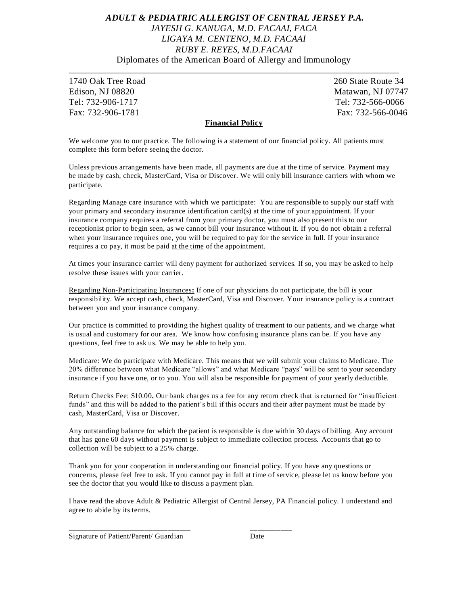## *ADULT & PEDIATRIC ALLERGIST OF CENTRAL JERSEY P.A. JAYESH G. KANUGA, M.D. FACAAI, FACA LIGAYA M. CENTENO, M.D. FACAAI RUBY E. REYES, M.D.FACAAI* Diplomates of the American Board of Allergy and Immunology

1740 Oak Tree Road 260 State Route 34 Edison, NJ 08820 Matawan, NJ 07747 Tel: 732-906-1717 Tel: 732-566-0066 Fax: 732-906-1781 Fax: 732-566-0046

#### **Financial Policy**

We welcome you to our practice. The following is a statement of our financial policy. All patients must complete this form before seeing the doctor.

Unless previous arrangements have been made, all payments are due at the time of service. Payment may be made by cash, check, MasterCard, Visa or Discover. We will only bill insurance carriers with whom we participate.

Regarding Manage care insurance with which we participate: You are responsible to supply our staff with your primary and secondary insurance identification card(s) at the time of your appointment. If your insurance company requires a referral from your primary doctor, you must also present this to our receptionist prior to begin seen, as we cannot bill your insurance without it. If you do not obtain a referral when your insurance requires one, you will be required to pay for the service in full. If your insurance requires a co pay, it must be paid at the time of the appointment.

At times your insurance carrier will deny payment for authorized services. If so, you may be asked to help resolve these issues with your carrier.

Regarding Non-Participating Insurances**:** If one of our physicians do not participate, the bill is your responsibility. We accept cash, check, MasterCard, Visa and Discover. Your insurance policy is a contract between you and your insurance company.

Our practice is committed to providing the highest quality of treatment to our patients, and we charge what is usual and customary for our area. We know how confusing insurance plans can be. If you have any questions, feel free to ask us. We may be able to help you.

Medicare: We do participate with Medicare. This means that we will submit your claims to Medicare. The 20% difference between what Medicare "allows" and what Medicare "pays" will be sent to your secondary insurance if you have one, or to you. You will also be responsible for payment of your yearly deductible.

Return Checks Fee: \$10.00**.** Our bank charges us a fee for any return check that is returned for "insufficient funds" and this will be added to the patient's bill if this occurs and their after payment must be made by cash, MasterCard, Visa or Discover.

Any outstanding balance for which the patient is responsible is due within 30 days of billing. Any account that has gone 60 days without payment is subject to immediate collection process. Accounts that go to collection will be subject to a 25% charge.

Thank you for your cooperation in understanding our financial policy. If you have any questions or concerns, please feel free to ask. If you cannot pay in full at time of service, please let us know before you see the doctor that you would like to discuss a payment plan.

I have read the above Adult & Pediatric Allergist of Central Jersey, PA Financial policy. I understand and agree to abide by its terms.

Signature of Patient/Parent/ Guardian Date

\_\_\_\_\_\_\_\_\_\_\_\_\_\_\_\_\_\_\_\_\_\_\_\_\_\_\_\_\_\_\_\_ \_\_\_\_\_\_\_\_\_\_\_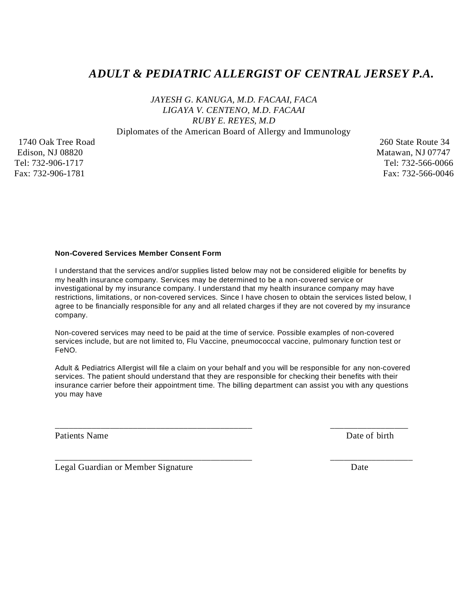## *ADULT & PEDIATRIC ALLERGIST OF CENTRAL JERSEY P.A.*

*JAYESH G. KANUGA, M.D. FACAAI, FACA LIGAYA V. CENTENO, M.D. FACAAI RUBY E. REYES, M.D*

Diplomates of the American Board of Allergy and Immunology

1740 Oak Tree Road 260 State Route 34 Edison, NJ 08820 Matawan, NJ 07747 Tel: 732-906-1717 Tel: 732-566-0066 Fax: 732-906-1781 Fax: 732-566-0046

#### **Non-Covered Services Member Consent Form**

I understand that the services and/or supplies listed below may not be considered eligible for benefits by my health insurance company. Services may be determined to be a non-covered service or investigational by my insurance company. I understand that my health insurance company may have restrictions, limitations, or non-covered services. Since I have chosen to obtain the services listed below, I agree to be financially responsible for any and all related charges if they are not covered by my insurance company.

Non-covered services may need to be paid at the time of service. Possible examples of non-covered services include, but are not limited to, Flu Vaccine, pneumococcal vaccine, pulmonary function test or FeNO.

Adult & Pediatrics Allergist will file a claim on your behalf and you will be responsible for any non-covered services. The patient should understand that they are responsible for checking their benefits with their insurance carrier before their appointment time. The billing department can assist you with any questions you may have

\_\_\_\_\_\_\_\_\_\_\_\_\_\_\_\_\_\_\_\_\_\_\_\_\_\_\_\_\_\_\_\_\_\_\_\_\_\_\_\_\_\_\_ \_\_\_\_\_\_\_\_\_\_\_\_\_\_\_\_\_

\_\_\_\_\_\_\_\_\_\_\_\_\_\_\_\_\_\_\_\_\_\_\_\_\_\_\_\_\_\_\_\_\_\_\_\_\_\_\_\_\_\_\_ \_\_\_\_\_\_\_\_\_\_\_\_\_\_\_\_\_\_

Patients Name Date of birth

Legal Guardian or Member Signature **Date** Date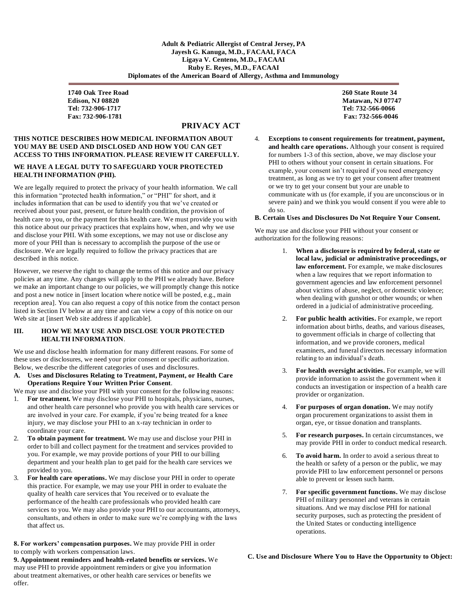**1740 Oak Tree Road 260 State Route 34 Edison, NJ 08820** Matawan, NJ 07747  **Tel: 732-906-1717 Tel: 732-566-0066 Fax: 732-906-1781 Fax: 732-566-0046**

### **PRIVACY ACT**

#### **THIS NOTICE DESCRIBES HOW MEDICAL INFORMATION ABOUT YOU MAY BE USED AND DISCLOSED AND HOW YOU CAN GET ACCESS TO THIS INFORMATION. PLEASE REVIEW IT CAREFULLY.**

#### **WE HAVE A LEGAL DUTY TO SAFEGUARD YOUR PROTECTED HEALTH INFORMATION (PHI).**

We are legally required to protect the privacy of your health information. We call this information "protected health information," or "PHI" for short, and it includes information that can be used to identify you that we've created or received about your past, present, or future health condition, the provision of health care to you, or the payment for this health care. We must provide you with this notice about our privacy practices that explains how, when, and why we use and disclose your PHI. With some exceptions, we may not use or disclose any more of your PHI than is necessary to accomplish the purpose of the use or disclosure. We are legally required to follow the privacy practices that are described in this notice.

However, we reserve the right to change the terms of this notice and our privacy policies at any time. Any changes will apply to the PHI we already have. Before we make an important change to our policies, we will promptly change this notice and post a new notice in [insert location where notice will be posted, e.g., main reception area]. You can also request a copy of this notice from the contact person listed in Section IV below at any time and can view a copy of this notice on our Web site at [insert Web site address if applicable].

#### **III. HOW WE MAY USE AND DISCLOSE YOUR PROTECTED HEALTH INFORMATION**.

We use and disclose health information for many different reasons. For some of these uses or disclosures, we need your prior consent or specific authorization. Below, we describe the different categories of uses and disclosures.

**A. Uses and Disclosures Relating to Treatment, Payment, or Health Care Operations Require Your Written Prior Consent**.

We may use and disclose your PHI with your consent for the following reasons:

- 1. **For treatment.** We may disclose your PHI to hospitals, physicians, nurses, and other health care personnel who provide you with health care services or are involved in your care. For example, if you're being treated for a knee injury, we may disclose your PHI to an x-ray technician in order to coordinate your care.
- 2. **To obtain payment for treatment.** We may use and disclose your PHI in order to bill and collect payment for the treatment and services provided to you. For example, we may provide portions of your PHI to our billing department and your health plan to get paid for the health care services we provided to you.
- 3. **For health care operations.** We may disclose your PHI in order to operate this practice. For example, we may use your PHI in order to evaluate the quality of health care services that You received or to evaluate the performance of the health care professionals who provided health care services to you. We may also provide your PHI to our accountants, attorneys, consultants, and others in order to make sure we're complying with the laws that affect us.

**8. For workers' compensation purposes.** We may provide PHI in order to comply with workers compensation laws.

**9. Appointment reminders and health-related benefits or services.** We may use PHI to provide appointment reminders or give you information about treatment alternatives, or other health care services or benefits we offer.

4. **Exceptions to consent requirements for treatment, payment, and health care operations.** Although your consent is required for numbers 1-3 of this section, above, we may disclose your PHI to others without your consent in certain situations. For example, your consent isn't required if you need emergency treatment, as long as we try to get your consent after treatment or we try to get your consent but your are unable to communicate with us (for example, if you are unconscious or in severe pain) and we think you would consent if you were able to do so.

#### **B. Certain Uses and Disclosures Do Not Require Your Consent.**

We may use and disclose your PHI without your consent or authorization for the following reasons:

- 1. **When a disclosure is required by federal, state or local law, judicial or administrative proceedings, or law enforcement.** For example, we make disclosures when a law requires that we report information to government agencies and law enforcement personnel about victims of abuse, neglect, or domestic violence; when dealing with gunshot or other wounds; or when ordered in a judicial of administrative proceeding.
- 2. **For public health activities.** For example, we report information about births, deaths, and various diseases, to government officials in charge of collecting that information, and we provide coroners, medical examiners, and funeral directors necessary information relating to an individual's death.
- 3. **For health oversight activities.** For example, we will provide information to assist the government when it conducts an investigation or inspection of a health care provider or organization.
- 4. **For purposes of organ donation.** We may notify organ procurement organizations to assist them in organ, eye, or tissue donation and transplants.
- 5. **For research purposes.** In certain circumstances, we may provide PHI in order to conduct medical research.
- 6. **To avoid harm.** In order to avoid a serious threat to the health or safety of a person or the public, we may provide PHI to law enforcement personnel or persons able to prevent or lessen such harm.
- 7. **For specific government functions.** We may disclose PHI of military personnel and veterans in certain situations. And we may disclose PHI for national security purposes, such as protecting the president of the United States or conducting intelligence operations.

#### **C. Use and Disclosure Where You to Have the Opportunity to Object:**